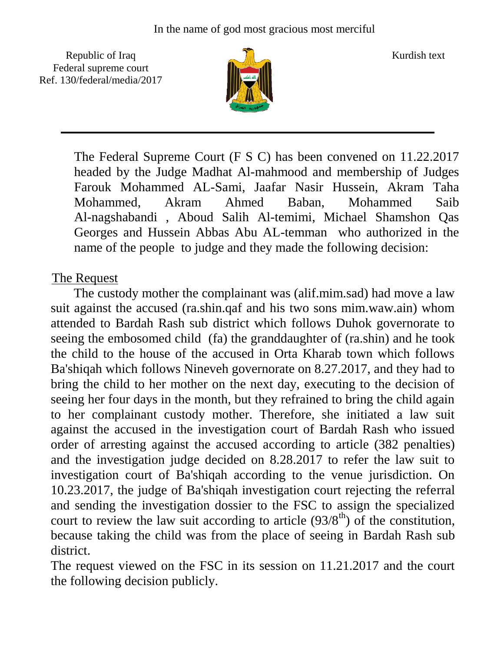Republic of Iraq  $\frac{1}{\sqrt{n}}$  Kurdish text Federal supreme court Ref. 130/federal/media/2017



The Federal Supreme Court (F S C) has been convened on 11.22.2017 headed by the Judge Madhat Al-mahmood and membership of Judges Farouk Mohammed AL-Sami, Jaafar Nasir Hussein, Akram Taha Mohammed, Akram Ahmed Baban, Mohammed Saib Al-nagshabandi , Aboud Salih Al-temimi, Michael Shamshon Qas Georges and Hussein Abbas Abu AL-temman who authorized in the name of the people to judge and they made the following decision:

## The Request

 The custody mother the complainant was (alif.mim.sad) had move a law suit against the accused (ra.shin.qaf and his two sons mim.waw.ain) whom attended to Bardah Rash sub district which follows Duhok governorate to seeing the embosomed child (fa) the granddaughter of (ra.shin) and he took the child to the house of the accused in Orta Kharab town which follows Ba'shiqah which follows Nineveh governorate on 8.27.2017, and they had to bring the child to her mother on the next day, executing to the decision of seeing her four days in the month, but they refrained to bring the child again to her complainant custody mother. Therefore, she initiated a law suit against the accused in the investigation court of Bardah Rash who issued order of arresting against the accused according to article (382 penalties) and the investigation judge decided on 8.28.2017 to refer the law suit to investigation court of Ba'shiqah according to the venue jurisdiction. On 10.23.2017, the judge of Ba'shiqah investigation court rejecting the referral and sending the investigation dossier to the FSC to assign the specialized court to review the law suit according to article  $(93/8<sup>th</sup>)$  of the constitution, because taking the child was from the place of seeing in Bardah Rash sub district.

The request viewed on the FSC in its session on 11.21.2017 and the court the following decision publicly.